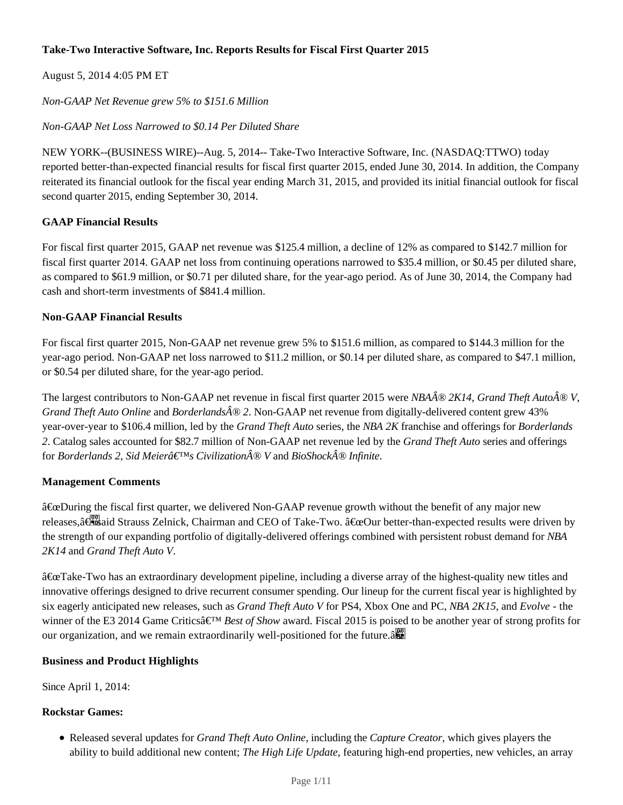#### **Take-Two Interactive Software, Inc. Reports Results for Fiscal First Quarter 2015**

#### August 5, 2014 4:05 PM ET

#### *Non-GAAP Net Revenue grew 5% to \$151.6 Million*

*Non-GAAP Net Loss Narrowed to \$0.14 Per Diluted Share*

NEW YORK--(BUSINESS WIRE)--Aug. 5, 2014-- Take-Two Interactive Software, Inc. (NASDAQ:TTWO) today reported better-than-expected financial results for fiscal first quarter 2015, ended June 30, 2014. In addition, the Company reiterated its financial outlook for the fiscal year ending March 31, 2015, and provided its initial financial outlook for fiscal second quarter 2015, ending September 30, 2014.

#### **GAAP Financial Results**

For fiscal first quarter 2015, GAAP net revenue was \$125.4 million, a decline of 12% as compared to \$142.7 million for fiscal first quarter 2014. GAAP net loss from continuing operations narrowed to \$35.4 million, or \$0.45 per diluted share, as compared to \$61.9 million, or \$0.71 per diluted share, for the year-ago period. As of June 30, 2014, the Company had cash and short-term investments of \$841.4 million.

#### **Non-GAAP Financial Results**

For fiscal first quarter 2015, Non-GAAP net revenue grew 5% to \$151.6 million, as compared to \$144.3 million for the year-ago period. Non-GAAP net loss narrowed to \$11.2 million, or \$0.14 per diluted share, as compared to \$47.1 million, or \$0.54 per diluted share, for the year-ago period.

The largest contributors to Non-GAAP net revenue in fiscal first quarter 2015 were *NBA® 2K14*, *Grand Theft Auto® V*, *Grand Theft Auto Online* and *Borderlands* $\hat{A} \otimes 2$ . Non-GAAP net revenue from digitally-delivered content grew 43% year-over-year to \$106.4 million, led by the *Grand Theft Auto* series, the *NBA 2K* franchise and offerings for *Borderlands 2*. Catalog sales accounted for \$82.7 million of Non-GAAP net revenue led by the *Grand Theft Auto* series and offerings for *Borderlands 2*, *Sid Meierâ*€<sup>™</sup>s *Civilization® V* and *BioShock® Infinite*.

#### **Management Comments**

 $\hat{a} \in \mathbb{R}$  alternatively first quarter, we delivered Non-GAAP revenue growth without the benefit of any major new releases, ât said Strauss Zelnick, Chairman and CEO of Take-Two.  $\hat{a} \in \alpha$ Our better-than-expected results were driven by the strength of our expanding portfolio of digitally-delivered offerings combined with persistent robust demand for *NBA 2K14* and *Grand Theft Auto V*.

 $\hat{\mathbf{a}} \in \mathbb{C}$  Take-Two has an extraordinary development pipeline, including a diverse array of the highest-quality new titles and innovative offerings designed to drive recurrent consumer spending. Our lineup for the current fiscal year is highlighted by six eagerly anticipated new releases, such as *Grand Theft Auto V* for PS4, Xbox One and PC, *NBA 2K15*, and *Evolve* - the winner of the E3 2014 Game Criticsâ€<sup>™</sup> *Best of Show* award. Fiscal 2015 is poised to be another year of strong profits for our organization, and we remain extraordinarily well-positioned for the future.  $\mathbf{a}$ 

#### **Business and Product Highlights**

Since April 1, 2014:

# **Rockstar Games:**

Released several updates for *Grand Theft Auto Online*, including the *Capture Creator*, which gives players the ability to build additional new content; *The High Life Update*, featuring high-end properties, new vehicles, an array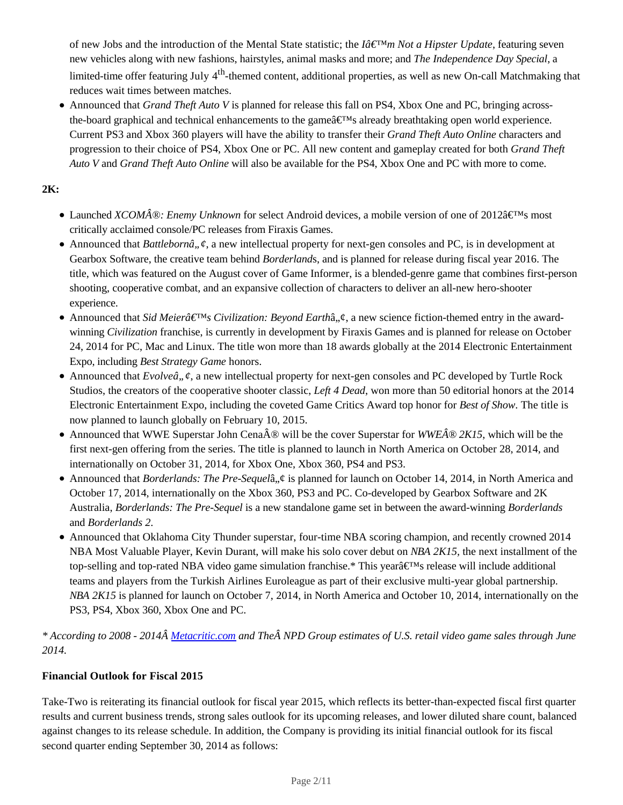of new Jobs and the introduction of the Mental State statistic; the *Iâ€*™*m Not a Hipster Update*, featuring seven new vehicles along with new fashions, hairstyles, animal masks and more; and *The Independence Day Special*, a limited-time offer featuring July 4<sup>th</sup>-themed content, additional properties, as well as new On-call Matchmaking that reduces wait times between matches.

Announced that *Grand Theft Auto V* is planned for release this fall on PS4, Xbox One and PC, bringing acrossthe-board graphical and technical enhancements to the game $\hat{\mathbf{a}} \in \mathbb{R}^N$  already breathtaking open world experience. Current PS3 and Xbox 360 players will have the ability to transfer their *Grand Theft Auto Online* characters and progression to their choice of PS4, Xbox One or PC. All new content and gameplay created for both *Grand Theft Auto V* and *Grand Theft Auto Online* will also be available for the PS4, Xbox One and PC with more to come.

# **2K:**

- Launched *XCOM®: Enemy Unknown* for select Android devices, a mobile version of one of 2012 $\hat{\mathfrak{g}} \in \mathbb{R}^{\text{TMs}}$  most critically acclaimed console/PC releases from Firaxis Games.
- Announced that *Battlebornâ*,  $\phi$ , a new intellectual property for next-gen consoles and PC, is in development at Gearbox Software, the creative team behind *Borderland*s, and is planned for release during fiscal year 2016. The title, which was featured on the August cover of Game Informer, is a blended-genre game that combines first-person shooting, cooperative combat, and an expansive collection of characters to deliver an all-new hero-shooter experience.
- Announced that *Sid Meierâ*  $\in$ <sup>IM</sup>s *Civilization: Beyond Earthâ*,  $\phi$ , a new science fiction-themed entry in the awardwinning *Civilization* franchise, is currently in development by Firaxis Games and is planned for release on October 24, 2014 for PC, Mac and Linux. The title won more than 18 awards globally at the 2014 Electronic Entertainment Expo, including *Best Strategy Game* honors.
- Announced that *Evolveâ"¢*, a new intellectual property for next-gen consoles and PC developed by Turtle Rock Studios, the creators of the cooperative shooter classic, *Left 4 Dead*, won more than 50 editorial honors at the 2014 Electronic Entertainment Expo, including the coveted Game Critics Award top honor for *Best of Show*. The title is now planned to launch globally on February 10, 2015.
- Announced that WWE Superstar John Cena® will be the cover Superstar for *WWEÂ*® 2K15, which will be the first next-gen offering from the series. The title is planned to launch in North America on October 28, 2014, and internationally on October 31, 2014, for Xbox One, Xbox 360, PS4 and PS3.
- Announced that *Borderlands: The Pre-Sequel*â,  $\phi$  is planned for launch on October 14, 2014, in North America and October 17, 2014, internationally on the Xbox 360, PS3 and PC. Co-developed by Gearbox Software and 2K Australia, *Borderlands: The Pre-Sequel* is a new standalone game set in between the award-winning *Borderlands* and *Borderlands 2*.
- Announced that Oklahoma City Thunder superstar, four-time NBA scoring champion, and recently crowned 2014 NBA Most Valuable Player, Kevin Durant, will make his solo cover debut on *NBA 2K15,* the next installment of the top-selling and top-rated NBA video game simulation franchise.\* This year $\hat{\mathbf{f}} \in \mathbb{R}^N$  release will include additional teams and players from the Turkish Airlines Euroleague as part of their exclusive multi-year global partnership. *NBA 2K15* is planned for launch on October 7, 2014, in North America and October 10, 2014, internationally on the PS3, PS4, Xbox 360, Xbox One and PC.

*\* According to 2008 - 2014 Metacritic.com and The NPD Group estimates of U.S. retail video game sales through June 2014.*

# **Financial Outlook for Fiscal 2015**

Take-Two is reiterating its financial outlook for fiscal year 2015, which reflects its better-than-expected fiscal first quarter results and current business trends, strong sales outlook for its upcoming releases, and lower diluted share count, balanced against changes to its release schedule. In addition, the Company is providing its initial financial outlook for its fiscal second quarter ending September 30, 2014 as follows: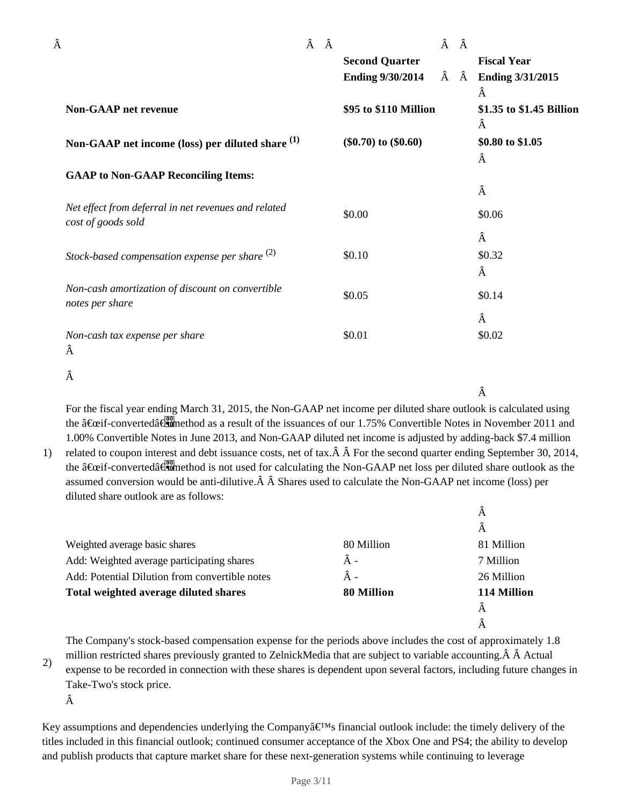| Â |                                                                            | Â | Â |                          | Â |                               |
|---|----------------------------------------------------------------------------|---|---|--------------------------|---|-------------------------------|
|   |                                                                            |   |   | <b>Second Quarter</b>    |   | <b>Fiscal Year</b>            |
|   |                                                                            |   |   | <b>Ending 9/30/2014</b>  | Â | Ending 3/31/2015<br>Â         |
|   | <b>Non-GAAP</b> net revenue                                                |   |   | \$95 to \$110 Million    |   | \$1.35 to \$1.45 Billion<br>Â |
|   | Non-GAAP net income (loss) per diluted share (1)                           |   |   | $(\$0.70)$ to $(\$0.60)$ |   | \$0.80 to \$1.05<br>Â         |
|   | <b>GAAP to Non-GAAP Reconciling Items:</b>                                 |   |   |                          |   |                               |
|   |                                                                            |   |   |                          |   | Â                             |
|   | Net effect from deferral in net revenues and related<br>cost of goods sold |   |   | \$0.00                   |   | \$0.06                        |
|   |                                                                            |   |   |                          |   | Â                             |
|   | Stock-based compensation expense per share $(2)$                           |   |   | \$0.10                   |   | \$0.32                        |
|   |                                                                            |   |   |                          |   | Â                             |
|   | Non-cash amortization of discount on convertible<br>notes per share        |   |   | \$0.05                   |   | \$0.14                        |
|   |                                                                            |   |   |                          |   | Â                             |
|   | Non-cash tax expense per share                                             |   |   | \$0.01                   |   | \$0.02                        |
|   | Â                                                                          |   |   |                          |   |                               |
|   |                                                                            |   |   |                          |   |                               |

Â

Â

For the fiscal year ending March 31, 2015, the Non-GAAP net income per diluted share outlook is calculated using the  $\hat{a} \in \hat{c}$  converted $\hat{a} \oplus \hat{b}$  method as a result of the issuances of our 1.75% Convertible Notes in November 2011 and 1.00% Convertible Notes in June 2013, and Non-GAAP diluted net income is adjusted by adding-back \$7.4 million

1) related to coupon interest and debt issuance costs, net of tax. $\hat{A}$  A For the second quarter ending September 30, 2014, the  $\hat{a} \in \hat{\alpha}$  method is not used for calculating the Non-GAAP net loss per diluted share outlook as the assumed conversion would be anti-dilutive. $\hat{A}$   $\hat{A}$  Shares used to calculate the Non-GAAP net income (loss) per diluted share outlook are as follows:

|                                                |             | Â           |
|------------------------------------------------|-------------|-------------|
|                                                |             | Â           |
| Weighted average basic shares                  | 80 Million  | 81 Million  |
| Add: Weighted average participating shares     | Â-          | 7 Million   |
| Add: Potential Dilution from convertible notes | $\hat{A}$ - | 26 Million  |
| Total weighted average diluted shares          | 80 Million  | 114 Million |
|                                                |             | Ä           |
|                                                |             | Ä           |

2)

The Company's stock-based compensation expense for the periods above includes the cost of approximately 1.8 million restricted shares previously granted to ZelnickMedia that are subject to variable accounting.  $\hat{A}$   $\hat{A}$  Actual expense to be recorded in connection with these shares is dependent upon several factors, including future changes in Take-Two's stock price.

Â

Key assumptions and dependencies underlying the Company's financial outlook include: the timely delivery of the titles included in this financial outlook; continued consumer acceptance of the Xbox One and PS4; the ability to develop and publish products that capture market share for these next-generation systems while continuing to leverage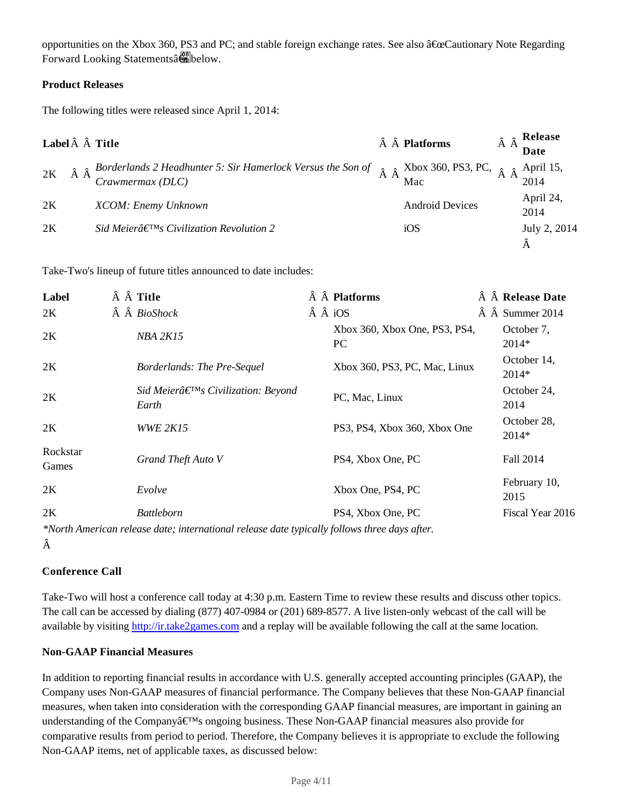opportunities on the Xbox 360, PS3 and PC; and stable foreign exchange rates. See also  $\hat{a} \in \alpha$ Cautionary Note Regarding Forward Looking Statementsa<sup>20</sup> below.

#### **Product Releases**

The following titles were released since April 1, 2014:

|    | Label   Title                                                                                                                                                      | Platforms              | <b>A</b> A <sup>2</sup> Release |
|----|--------------------------------------------------------------------------------------------------------------------------------------------------------------------|------------------------|---------------------------------|
|    | 2K $\hat{A} \hat{A}$ Borderlands 2 Headhunter 5: Sir Hamerlock Versus the Son of $\hat{A} \hat{A}$ Xbox 360, PS3, PC, $\hat{A} \hat{A}$ April 15, Crawmermax (DLC) |                        |                                 |
| 2K | XCOM: Enemy Unknown                                                                                                                                                | <b>Android Devices</b> | April 24,<br>2014               |
| 2K | Sid Meierâ $\epsilon_{\text{TM}}$ s Civilization Revolution 2                                                                                                      | iOS                    | July 2, 2014                    |

Take-Two's lineup of future titles announced to date includes:

| Label             | $\hat{A}$ $\hat{A}$ Title                                                                    | $\hat{A}$ $\hat{A}$ Platforms       | $\hat{A}$ $\hat{A}$ Release Date |
|-------------------|----------------------------------------------------------------------------------------------|-------------------------------------|----------------------------------|
| 2K                | $\hat{A}$ $\hat{A}$ <i>BioShock</i>                                                          | $\hat{A}$ $\hat{A}$ iOS             | $\hat{A}$ $\hat{A}$ Summer 2014  |
| 2K                | <b>NBA 2K15</b>                                                                              | Xbox 360, Xbox One, PS3, PS4,<br>PC | October 7,<br>2014*              |
| 2K                | Borderlands: The Pre-Sequel                                                                  | Xbox 360, PS3, PC, Mac, Linux       | October 14,<br>2014*             |
| 2K                | Sid Meier's Civilization: Beyond<br>Earth                                                    | PC, Mac, Linux                      | October 24,<br>2014              |
| 2K                | <i>WWE 2K15</i>                                                                              | PS3, PS4, Xbox 360, Xbox One        | October 28,<br>2014*             |
| Rockstar<br>Games | Grand Theft Auto V                                                                           | PS4, Xbox One, PC                   | Fall 2014                        |
| 2K                | Evolve                                                                                       | Xbox One, PS4, PC                   | February 10,<br>2015             |
| 2K                | <b>Battleborn</b>                                                                            | PS4, Xbox One, PC                   | Fiscal Year 2016                 |
|                   | *North American release date; international release date typically follows three days after. |                                     |                                  |

Â

#### **Conference Call**

Take-Two will host a conference call today at 4:30 p.m. Eastern Time to review these results and discuss other topics. The call can be accessed by dialing (877) 407-0984 or (201) 689-8577. A live listen-only webcast of the call will be available by visiting http://ir.take2games.com and a replay will be available following the call at the same location.

#### **Non-GAAP Financial Measures**

In addition to reporting financial results in accordance with U.S. generally accepted accounting principles (GAAP), the Company uses Non-GAAP measures of financial performance. The Company believes that these Non-GAAP financial measures, when taken into consideration with the corresponding GAAP financial measures, are important in gaining an understanding of the Company $\hat{a} \in T^M$ s ongoing business. These Non-GAAP financial measures also provide for comparative results from period to period. Therefore, the Company believes it is appropriate to exclude the following Non-GAAP items, net of applicable taxes, as discussed below: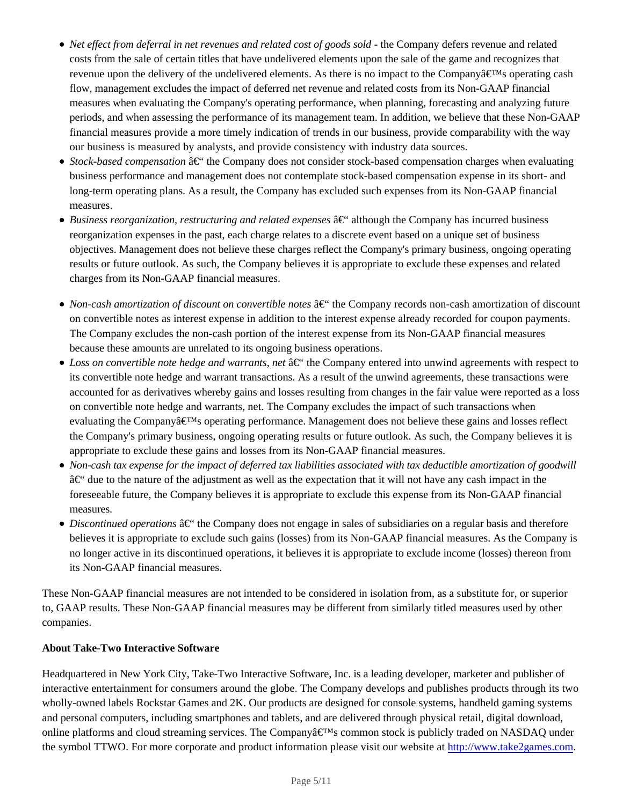- *Net effect from deferral in net revenues and related cost of goods sold* the Company defers revenue and related costs from the sale of certain titles that have undelivered elements upon the sale of the game and recognizes that revenue upon the delivery of the undelivered elements. As there is no impact to the Company $\hat{\mathbf{a}} \in \mathbb{N}$  operating cash flow, management excludes the impact of deferred net revenue and related costs from its Non-GAAP financial measures when evaluating the Company's operating performance, when planning, forecasting and analyzing future periods, and when assessing the performance of its management team. In addition, we believe that these Non-GAAP financial measures provide a more timely indication of trends in our business, provide comparability with the way our business is measured by analysts, and provide consistency with industry data sources.
- *Stock-based compensation*  $\hat{a} \in \mathcal{C}^*$  the Company does not consider stock-based compensation charges when evaluating business performance and management does not contemplate stock-based compensation expense in its short- and long-term operating plans. As a result, the Company has excluded such expenses from its Non-GAAP financial measures.
- $\bullet$  *Business reorganization, restructuring and related expenses*  $\hat{a} \in \hat{C}$  although the Company has incurred business reorganization expenses in the past, each charge relates to a discrete event based on a unique set of business objectives. Management does not believe these charges reflect the Company's primary business, ongoing operating results or future outlook. As such, the Company believes it is appropriate to exclude these expenses and related charges from its Non-GAAP financial measures.
- *Non-cash amortization of discount on convertible notes*  $\hat{a} \in \mathcal{C}$  the Company records non-cash amortization of discount on convertible notes as interest expense in addition to the interest expense already recorded for coupon payments. The Company excludes the non-cash portion of the interest expense from its Non-GAAP financial measures because these amounts are unrelated to its ongoing business operations.
- $\bullet$  *Loss on convertible note hedge and warrants, net*  $\hat{a} \in \hat{C}$  the Company entered into unwind agreements with respect to its convertible note hedge and warrant transactions. As a result of the unwind agreements, these transactions were accounted for as derivatives whereby gains and losses resulting from changes in the fair value were reported as a loss on convertible note hedge and warrants, net. The Company excludes the impact of such transactions when evaluating the Company $\hat{\mathbf{a}} \in \mathbb{M}$  operating performance. Management does not believe these gains and losses reflect the Company's primary business, ongoing operating results or future outlook. As such, the Company believes it is appropriate to exclude these gains and losses from its Non-GAAP financial measures.
- Non-cash tax expense for the impact of deferred tax liabilities associated with tax deductible amortization of goodwill  $\hat{a} \in \hat{C}^*$  due to the nature of the adjustment as well as the expectation that it will not have any cash impact in the foreseeable future, the Company believes it is appropriate to exclude this expense from its Non-GAAP financial measures*.*
- $\bullet$  *Discontinued operations*  $\hat{a} \in \hat{c}$  the Company does not engage in sales of subsidiaries on a regular basis and therefore believes it is appropriate to exclude such gains (losses) from its Non-GAAP financial measures. As the Company is no longer active in its discontinued operations, it believes it is appropriate to exclude income (losses) thereon from its Non-GAAP financial measures.

These Non-GAAP financial measures are not intended to be considered in isolation from, as a substitute for, or superior to, GAAP results. These Non-GAAP financial measures may be different from similarly titled measures used by other companies.

#### **About Take-Two Interactive Software**

Headquartered in New York City, Take-Two Interactive Software, Inc. is a leading developer, marketer and publisher of interactive entertainment for consumers around the globe. The Company develops and publishes products through its two wholly-owned labels Rockstar Games and 2K. Our products are designed for console systems, handheld gaming systems and personal computers, including smartphones and tablets, and are delivered through physical retail, digital download, online platforms and cloud streaming services. The Company's common stock is publicly traded on NASDAQ under the symbol TTWO. For more corporate and product information please visit our website at http://www.take2games.com.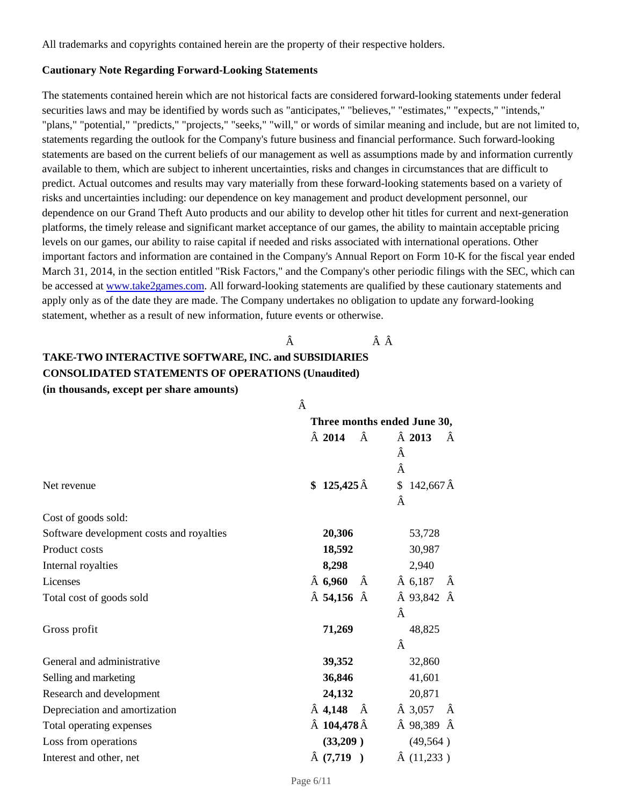All trademarks and copyrights contained herein are the property of their respective holders.

#### **Cautionary Note Regarding Forward-Looking Statements**

The statements contained herein which are not historical facts are considered forward-looking statements under federal securities laws and may be identified by words such as "anticipates," "believes," "estimates," "expects," "intends," "plans," "potential," "predicts," "projects," "seeks," "will," or words of similar meaning and include, but are not limited to, statements regarding the outlook for the Company's future business and financial performance. Such forward-looking statements are based on the current beliefs of our management as well as assumptions made by and information currently available to them, which are subject to inherent uncertainties, risks and changes in circumstances that are difficult to predict. Actual outcomes and results may vary materially from these forward-looking statements based on a variety of risks and uncertainties including: our dependence on key management and product development personnel, our dependence on our Grand Theft Auto products and our ability to develop other hit titles for current and next-generation platforms, the timely release and significant market acceptance of our games, the ability to maintain acceptable pricing levels on our games, our ability to raise capital if needed and risks associated with international operations. Other important factors and information are contained in the Company's Annual Report on Form 10-K for the fiscal year ended March 31, 2014, in the section entitled "Risk Factors," and the Company's other periodic filings with the SEC, which can be accessed at www.take2games.com. All forward-looking statements are qualified by these cautionary statements and apply only as of the date they are made. The Company undertakes no obligation to update any forward-looking statement, whether as a result of new information, future events or otherwise.

# $\hat{A}$   $\hat{A}$   $\hat{A}$

# **TAKE-TWO INTERACTIVE SOFTWARE, INC. and SUBSIDIARIES CONSOLIDATED STATEMENTS OF OPERATIONS (Unaudited)**

**(in thousands, except per share amounts)**

|                                          | Â                           |                            |  |  |  |  |
|------------------------------------------|-----------------------------|----------------------------|--|--|--|--|
|                                          | Three months ended June 30, |                            |  |  |  |  |
|                                          | Â<br>$\hat{A}$ 2014         | $\hat{A}$ 2013<br>Â        |  |  |  |  |
|                                          |                             | Â                          |  |  |  |  |
|                                          |                             | Â                          |  |  |  |  |
| Net revenue                              | $$125,425\AA$               | $$142,667\AA$              |  |  |  |  |
|                                          |                             | Â                          |  |  |  |  |
| Cost of goods sold:                      |                             |                            |  |  |  |  |
| Software development costs and royalties | 20,306                      | 53,728                     |  |  |  |  |
| Product costs                            | 18,592                      | 30,987                     |  |  |  |  |
| Internal royalties                       | 8,298                       | 2,940                      |  |  |  |  |
| Licenses                                 | $\hat{A}$ 6,960 $\hat{A}$   | 6,187<br>Â                 |  |  |  |  |
| Total cost of goods sold                 | $\hat{A}$ 54,156 $\hat{A}$  | $\hat{A}$ 93,842 $\hat{A}$ |  |  |  |  |
|                                          |                             | Â                          |  |  |  |  |
| Gross profit                             | 71,269                      | 48,825                     |  |  |  |  |
|                                          |                             | Â                          |  |  |  |  |
| General and administrative               | 39,352                      | 32,860                     |  |  |  |  |
| Selling and marketing                    | 36,846                      | 41,601                     |  |  |  |  |
| Research and development                 | 24,132                      | 20,871                     |  |  |  |  |
| Depreciation and amortization            | $\hat{A}$ 4,148 $\hat{A}$   | 3,057<br>Â                 |  |  |  |  |
| Total operating expenses                 | 104,478 Â                   | $\hat{A}$ 98,389 $\hat{A}$ |  |  |  |  |
| Loss from operations                     | (33,209)                    | (49, 564)                  |  |  |  |  |
| Interest and other, net                  | $\hat{A}$ (7,719)           | $\hat{A}$ (11,233)         |  |  |  |  |
|                                          |                             |                            |  |  |  |  |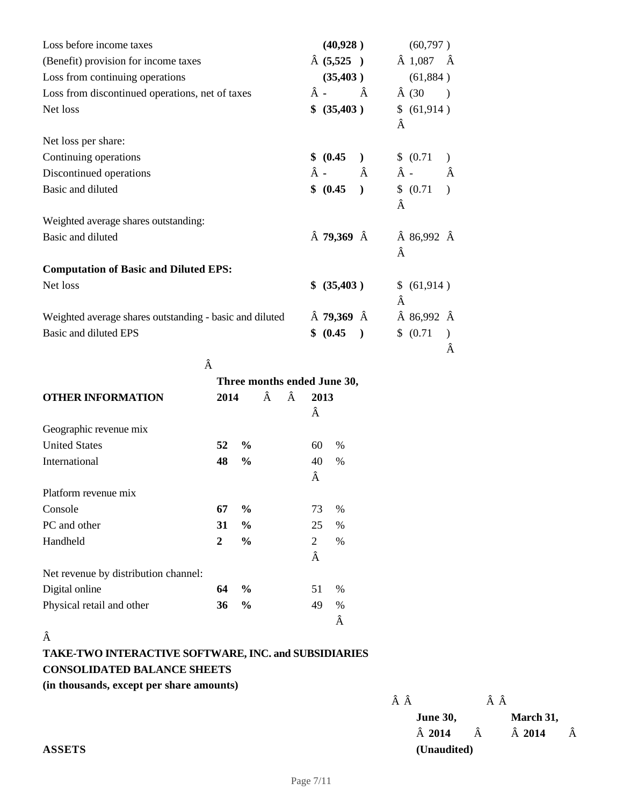| Loss before income taxes                                |              | (40,928)                   |                |             | (60, 797)                  |               |
|---------------------------------------------------------|--------------|----------------------------|----------------|-------------|----------------------------|---------------|
| (Benefit) provision for income taxes                    |              | $\hat{A}$ (5,525)          |                |             | $\hat{A}$ 1,087 $\hat{A}$  |               |
| Loss from continuing operations                         |              | (35, 403)                  |                |             | (61,884)                   |               |
| Loss from discontinued operations, net of taxes         | $\ddot{A}$ - |                            | Â              |             | $\hat{A}$ (30              | $\rightarrow$ |
| Net loss                                                |              | \$ (35,403)                |                |             | \$ (61,914)                |               |
|                                                         |              |                            |                | Â           |                            |               |
| Net loss per share:                                     |              |                            |                |             |                            |               |
| Continuing operations                                   |              | \$ (0.45)                  | $\overline{)}$ |             | \$ (0.71)                  |               |
| Discontinued operations                                 | Â-           |                            | Â              | $\hat{A}$ - |                            | Â             |
| Basic and diluted                                       |              | \$ (0.45)                  |                |             | \$ (0.71)                  | $\lambda$     |
|                                                         |              |                            |                | Â           |                            |               |
| Weighted average shares outstanding:                    |              |                            |                |             |                            |               |
| Basic and diluted                                       |              | $\hat{A}$ 79,369 $\hat{A}$ |                |             | $\hat{A}$ 86,992 $\hat{A}$ |               |
|                                                         |              |                            |                | Â           |                            |               |
| <b>Computation of Basic and Diluted EPS:</b>            |              |                            |                |             |                            |               |
| Net loss                                                | \$           | (35, 403)                  |                |             | \$ (61,914)                |               |
|                                                         |              |                            |                | Â           |                            |               |
| Weighted average shares outstanding - basic and diluted |              | $\hat{A}$ 79,369 $\hat{A}$ |                |             | $\hat{A}$ 86,992 $\hat{A}$ |               |
| Basic and diluted EPS                                   |              | \$ (0.45)                  | $\rightarrow$  |             | \$ (0.71)                  |               |
|                                                         |              |                            |                |             |                            | Â             |

Â

|                                      | Three months ended June 30, |               |  |   |      |      |  |  |  |
|--------------------------------------|-----------------------------|---------------|--|---|------|------|--|--|--|
| <b>OTHER INFORMATION</b>             |                             | 2014          |  | Â | 2013 |      |  |  |  |
|                                      |                             |               |  |   | Â    |      |  |  |  |
| Geographic revenue mix               |                             |               |  |   |      |      |  |  |  |
| <b>United States</b>                 | 52                          | $\frac{6}{9}$ |  |   | 60   | $\%$ |  |  |  |
| International                        | 48                          | $\frac{6}{9}$ |  |   | 40   | $\%$ |  |  |  |
|                                      |                             |               |  |   | Â    |      |  |  |  |
| Platform revenue mix                 |                             |               |  |   |      |      |  |  |  |
| Console                              | 67                          | $\frac{0}{0}$ |  |   | 73   | $\%$ |  |  |  |
| PC and other                         | 31                          | $\frac{0}{0}$ |  |   | 25   | $\%$ |  |  |  |
| Handheld                             | 2                           | $\frac{6}{6}$ |  |   | 2    | $\%$ |  |  |  |
|                                      |                             |               |  |   | Â    |      |  |  |  |
| Net revenue by distribution channel: |                             |               |  |   |      |      |  |  |  |
| Digital online                       | 64                          | $\frac{6}{9}$ |  |   | 51   | $\%$ |  |  |  |
| Physical retail and other            | 36                          | $\frac{6}{9}$ |  |   | 49   | $\%$ |  |  |  |
|                                      |                             |               |  |   |      | Â    |  |  |  |

# $\hat{\textbf{A}}$

# **TAKE-TWO INTERACTIVE SOFTWARE, INC. and SUBSIDIARIES CONSOLIDATED BALANCE SHEETS**

**(in thousands, except per share amounts)**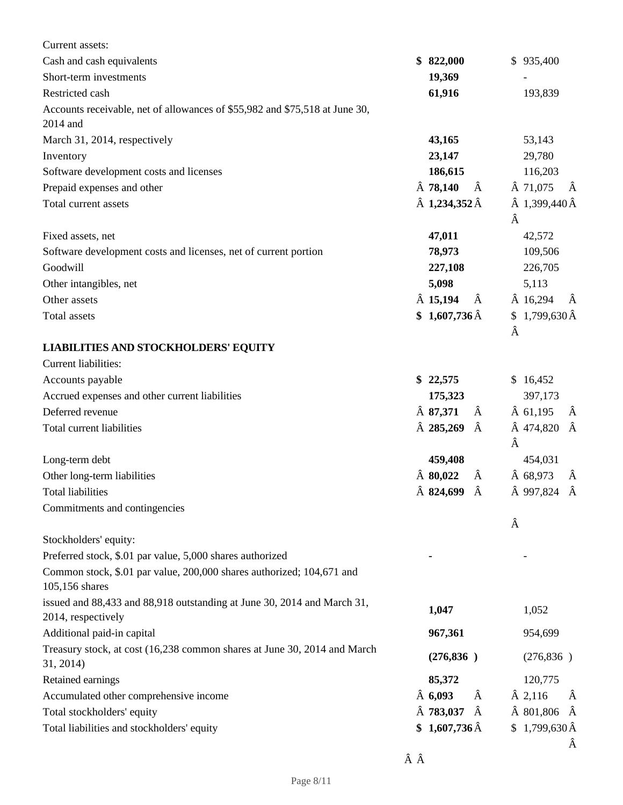| Current assets:                                                                       |                               |                                    |
|---------------------------------------------------------------------------------------|-------------------------------|------------------------------------|
| Cash and cash equivalents                                                             | \$822,000                     | \$935,400                          |
| Short-term investments                                                                | 19,369                        |                                    |
| Restricted cash                                                                       | 61,916                        | 193,839                            |
| Accounts receivable, net of allowances of \$55,982 and \$75,518 at June 30,           |                               |                                    |
| 2014 and                                                                              |                               |                                    |
| March 31, 2014, respectively                                                          | 43,165                        | 53,143                             |
| Inventory                                                                             | 23,147                        | 29,780                             |
| Software development costs and licenses                                               | 186,615                       | 116,203                            |
| Prepaid expenses and other                                                            | $\hat{A}$ 78,140<br>$\hat{A}$ | $\hat{A}$ 71,075<br>Â              |
| Total current assets                                                                  | $\hat{A}$ 1,234,352 $\hat{A}$ | $\hat{A}$ 1,399,440 $\hat{A}$<br>Â |
| Fixed assets, net                                                                     | 47,011                        | 42,572                             |
| Software development costs and licenses, net of current portion                       | 78,973                        | 109,506                            |
| Goodwill                                                                              | 227,108                       | 226,705                            |
| Other intangibles, net                                                                | 5,098                         | 5,113                              |
| Other assets                                                                          | $\hat{A}$ 15,194<br>$\hat{A}$ | $\hat{A}$ 16,294<br>Â              |
| <b>Total assets</b>                                                                   | $$1,607,736\AA$               | $$1,799,630\AA$                    |
|                                                                                       |                               | Â                                  |
| <b>LIABILITIES AND STOCKHOLDERS' EQUITY</b>                                           |                               |                                    |
| Current liabilities:                                                                  |                               |                                    |
| Accounts payable                                                                      | \$22,575                      | \$16,452                           |
| Accrued expenses and other current liabilities                                        | 175,323                       | 397,173                            |
| Deferred revenue                                                                      | $\hat{A}$<br>87,371           | $\hat{A}$ 61,195<br>Â              |
| Total current liabilities                                                             | $\hat{A}$ 285,269<br>Â        | $\hat{A}$ 474,820 $\hat{A}$        |
|                                                                                       |                               | Â                                  |
| Long-term debt                                                                        | 459,408                       | 454,031                            |
| Other long-term liabilities                                                           | $\hat{A}$ 80,022<br>Â         | $\hat{A}$ 68,973<br>Â              |
| <b>Total liabilities</b>                                                              | Â<br>$\hat{A}$ 824,699        | Â<br>997,824                       |
| Commitments and contingencies                                                         |                               | Â                                  |
| Stockholders' equity:                                                                 |                               |                                    |
| Preferred stock, \$.01 par value, 5,000 shares authorized                             |                               |                                    |
| Common stock, \$.01 par value, 200,000 shares authorized; 104,671 and                 |                               |                                    |
| 105,156 shares                                                                        |                               |                                    |
| issued and 88,433 and 88,918 outstanding at June 30, 2014 and March 31,               | 1,047                         | 1,052                              |
| 2014, respectively                                                                    |                               |                                    |
| Additional paid-in capital                                                            | 967,361                       | 954,699                            |
| Treasury stock, at cost (16,238 common shares at June 30, 2014 and March<br>31, 2014) | (276, 836)                    | (276, 836)                         |
| Retained earnings                                                                     | 85,372                        | 120,775                            |
| Accumulated other comprehensive income                                                | $\hat{A}$ 6,093<br>Â          | $\hat{A}$ 2,116<br>Â               |
| Total stockholders' equity                                                            | $\hat{A}$ 783,037 $\hat{A}$   | $\hat{A}$ 801,806 $\hat{A}$        |
| Total liabilities and stockholders' equity                                            | $$1,607,736\AA$               | $$1,799,630\AA$                    |
|                                                                                       |                               | Â                                  |
|                                                                                       | ÂÂ                            |                                    |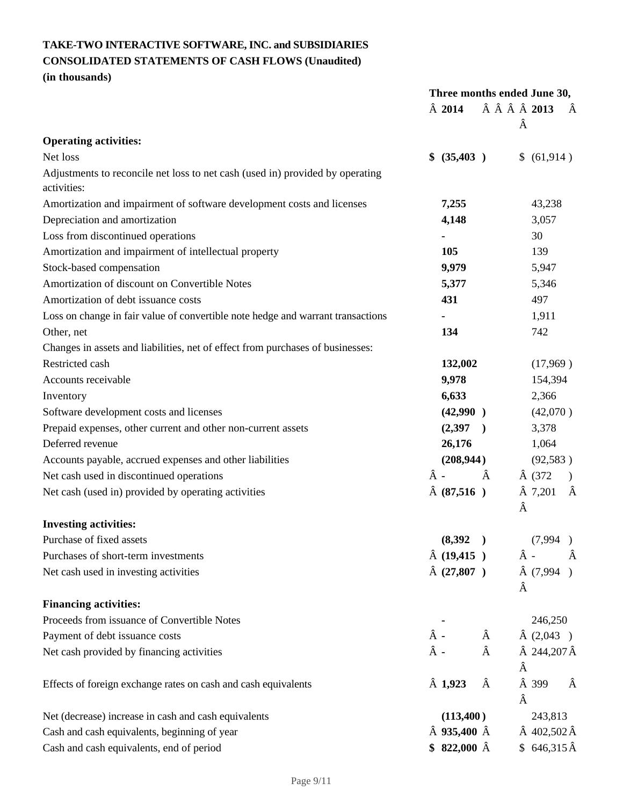# **TAKE-TWO INTERACTIVE SOFTWARE, INC. and SUBSIDIARIES CONSOLIDATED STATEMENTS OF CASH FLOWS (Unaudited) (in thousands)**

**Three months ended June 30,**  $\hat{A}$  **2014**  $\hat{A}$   $\hat{A}$   $\hat{A}$   $\hat{A}$  **2013**  $\hat{A}$  $\hat{A}$ **Operating activities:** Net loss **\$ (35,403 )** \$ (61,914 ) Adjustments to reconcile net loss to net cash (used in) provided by operating activities: Amortization and impairment of software development costs and licenses **7,255** 43,238 Depreciation and amortization **4,148** 3,057 Loss from discontinued operations **-** 30 Amortization and impairment of intellectual property **105** 139 Stock-based compensation **9,979** 5,947 Amortization of discount on Convertible Notes **5,377** 5,346 Amortization of debt issuance costs **431** 497 Loss on change in fair value of convertible note hedge and warrant transactions **-** 1,911 Other, net **134** 742 Changes in assets and liabilities, net of effect from purchases of businesses: Restricted cash **132,002** (17,969 ) Accounts receivable **9,978** 154,394 Inventory **6,633** 2,366 Software development costs and licenses **(42,990)** (42,070) Prepaid expenses, other current and other non-current assets **(2,397 )** 3,378 Deferred revenue **26,176** 1,064 Accounts payable, accrued expenses and other liabilities **(208,944)** (92,583) Net cash used in discontinued operations  $\hat{A}$   $\hat{A}$   $\hat{A}$   $\hat{A}$  (372 ) Net cash (used in) provided by operating activities  $\hat{A}$  (87,516)  $\hat{A}$  7,201  $\hat{A}$ Â **Investing activities:** Purchase of fixed assets **(8,392 )** (7,994 ) Purchases of short-term investments  $\hat{A}$  (19,415)  $\hat{A}$  -  $\hat{A}$ Net cash used in investing activities  $\hat{A}$  (27,807)  $\hat{A}$  (7,994) Â **Financing activities:** Proceeds from issuance of Convertible Notes **a** *example 146,250 example 146,250 example 146,250* Payment of debt issuance costs  $\hat{A}$   $\hat{A}$   $\hat{A}$   $\hat{A}$   $\hat{A}$   $\hat{A}$   $\hat{A}$   $\hat{A}$   $\hat{A}$   $\hat{A}$   $\hat{A}$   $\hat{A}$   $\hat{A}$   $\hat{A}$   $\hat{A}$   $\hat{A}$   $\hat{A}$   $\hat{A}$   $\hat{A}$   $\hat{A}$   $\hat{A}$   $\hat{A}$   $\hat{A}$   $\hat{A}$ Net cash provided by financing activities  $\hat{A}$  **a**  $\hat{A}$   $\hat{A}$   $\hat{A}$   $\hat{A}$   $\hat{A}$   $\hat{A}$   $\hat{A}$   $\hat{A}$   $\hat{A}$   $\hat{A}$   $\hat{A}$   $\hat{A}$   $\hat{A}$   $\hat{A}$   $\hat{A}$   $\hat{A}$   $\hat{A}$   $\hat{A}$   $\hat{A}$   $\hat{A}$   $\hat{A}$ Â Effects of foreign exchange rates on cash and cash equivalents  $\hat{A}$  1,923  $\hat{A}$   $\hat{A}$  399  $\hat{A}$ Â Net (decrease) increase in cash and cash equivalents **(113,400 )** 243,813 Cash and cash equivalents, beginning of year  $\hat{A}$  935,400  $\hat{A}$   $\hat{A}$  402,502  $\hat{A}$ 

Cash and cash equivalents, end of period **\$** 822,000 Å \$ 646,315 Å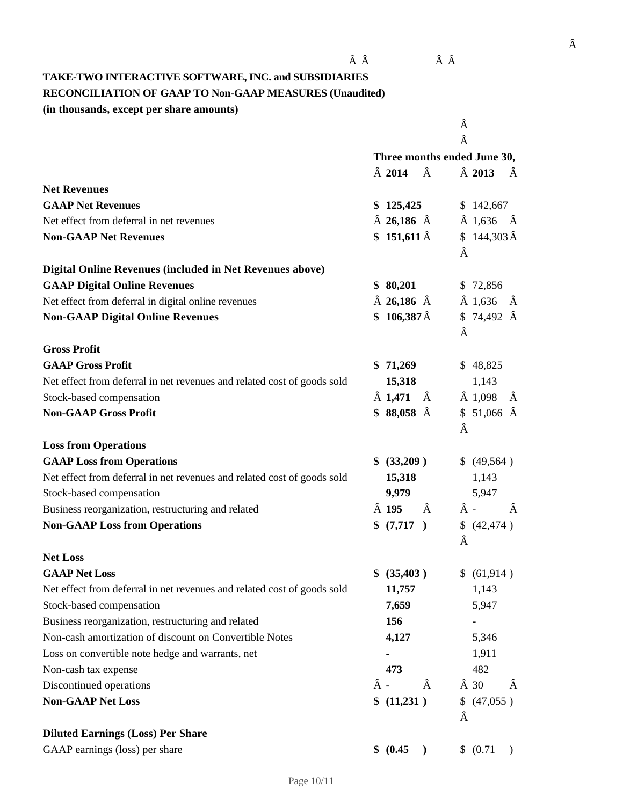Â

# **TAKE-TWO INTERACTIVE SOFTWARE, INC. and SUBSIDIARIES**

# **RECONCILIATION OF GAAP TO Non-GAAP MEASURES (Unaudited)**

**(in thousands, except per share amounts)**

|                                                                         |                             |                            |   | Â |                           |   |
|-------------------------------------------------------------------------|-----------------------------|----------------------------|---|---|---------------------------|---|
|                                                                         |                             |                            |   | Â |                           |   |
|                                                                         | Three months ended June 30, |                            |   |   |                           |   |
|                                                                         |                             | $\hat{A}$ 2014             | Â |   | $\hat{A}$ 2013            | Ä |
| <b>Net Revenues</b>                                                     |                             |                            |   |   |                           |   |
| <b>GAAP Net Revenues</b>                                                |                             | \$125,425                  |   |   | \$142,667                 |   |
| Net effect from deferral in net revenues                                |                             | $\hat{A}$ 26,186 $\hat{A}$ |   |   | $\hat{A}$ 1,636 $\hat{A}$ |   |
| <b>Non-GAAP Net Revenues</b>                                            |                             | $$151,611 \,\AA$           |   |   | $$144,303\,\text{\AA}$    |   |
|                                                                         |                             |                            |   | Â |                           |   |
| Digital Online Revenues (included in Net Revenues above)                |                             |                            |   |   |                           |   |
| <b>GAAP Digital Online Revenues</b>                                     |                             | \$80,201                   |   |   | \$72,856                  |   |
| Net effect from deferral in digital online revenues                     |                             | $\hat{A}$ 26,186 $\hat{A}$ |   |   | $\hat{A}$ 1,636 $\hat{A}$ |   |
| <b>Non-GAAP Digital Online Revenues</b>                                 |                             | $$106,387\AA$              |   |   | $$74,492 \text{ Å}$       |   |
|                                                                         |                             |                            |   | Â |                           |   |
| <b>Gross Profit</b>                                                     |                             |                            |   |   |                           |   |
| <b>GAAP Gross Profit</b>                                                |                             | \$71,269                   |   |   | \$48,825                  |   |
| Net effect from deferral in net revenues and related cost of goods sold |                             | 15,318                     |   |   | 1,143                     |   |
| Stock-based compensation                                                |                             | 1,471                      | Â |   | $\hat{A}$ 1,098           | Â |
| <b>Non-GAAP Gross Profit</b>                                            |                             | $$8,058 \,\hat{\rm A}$     |   |   | $$51,066 \text{ Å}$       |   |
|                                                                         |                             |                            |   | Â |                           |   |
| <b>Loss from Operations</b>                                             |                             |                            |   |   |                           |   |
| <b>GAAP Loss from Operations</b>                                        |                             | \$ (33,209)                |   |   | \$ (49,564)               |   |
| Net effect from deferral in net revenues and related cost of goods sold |                             | 15,318                     |   |   | 1,143                     |   |
| Stock-based compensation                                                |                             | 9,979                      |   |   | 5,947                     |   |
| Business reorganization, restructuring and related                      |                             | $\hat{A}$ 195              | Â |   | $\hat{A}$ -               | Â |
| <b>Non-GAAP Loss from Operations</b>                                    |                             | \$(7,717)                  |   |   | (42, 474)                 |   |
|                                                                         |                             |                            |   | Â |                           |   |
| <b>Net Loss</b>                                                         |                             |                            |   |   |                           |   |
| <b>GAAP Net Loss</b>                                                    |                             | \$ (35,403)                |   |   | \$ (61,914)               |   |
| Net effect from deferral in net revenues and related cost of goods sold |                             | 11,757                     |   |   | 1,143                     |   |
| Stock-based compensation                                                |                             | 7,659                      |   |   | 5,947                     |   |
| Business reorganization, restructuring and related                      |                             | 156                        |   |   |                           |   |
| Non-cash amortization of discount on Convertible Notes                  |                             | 4,127                      |   |   | 5,346                     |   |
| Loss on convertible note hedge and warrants, net                        |                             |                            |   |   | 1,911                     |   |
| Non-cash tax expense                                                    |                             | 473                        |   |   | 482                       |   |
| Discontinued operations                                                 | Â-                          |                            | Â |   | $\hat{A}$ 30              | Â |
| <b>Non-GAAP Net Loss</b>                                                |                             | \$ (11,231)                |   |   | \$ (47,055)               |   |
|                                                                         |                             |                            |   | Â |                           |   |
| <b>Diluted Earnings (Loss) Per Share</b>                                |                             |                            |   |   |                           |   |
| GAAP earnings (loss) per share                                          |                             | \$ (0.45)                  |   |   | \$ (0.71)                 |   |